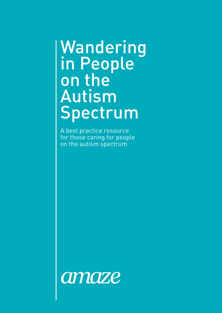# Wandering in People on the Autism Spectrum

A best practice resource for those caring for people on the autism spectrum

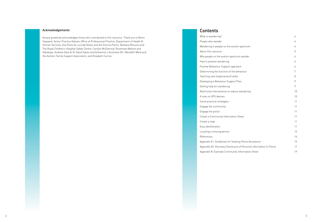|                                     | 4      |
|-------------------------------------|--------|
|                                     | 4      |
| m spectrum                          | 4      |
|                                     | 5      |
| um wander                           | 6      |
|                                     | 6      |
| oach                                | 6      |
| vehaviour                           | 7      |
| .S                                  | 8      |
| Plan                                | 9      |
|                                     | 9      |
| e wandering                         | 10     |
|                                     | 10     |
|                                     | 11     |
|                                     | 11     |
|                                     | 11     |
| Sheet                               | 11     |
|                                     | 11     |
|                                     | 11     |
|                                     | 13     |
|                                     | 14     |
| ing Police Assistance               | 15     |
| e of Personal Information to Police | $17\,$ |
| y Information Sheet                 | 19     |

### Acknowledgements

Amaze gratefully acknowledges those who contributed to this resource. Thank you to Brent Hayward, Senior Practice Adviser, Office of Professional Practice, Department of Health & Human Services; Eva Perez & Lucinda Nolan and the Victoria Police; Barbara Minuzzo and The Royal Children's Hospital Safety Centre; Carolyn McDiarmid, Rosemary Malone and Gateways; Andrew Italia & Dr David Sykes and Alzheimer's Australia VIC; Meredith Ward and the Autistic Family Support Association; and Elizabeth Curran.

### Contents

What is wandering? People who wander Wandering in people on the autisr About this resource Why people on the autism spectrum How to prevent wandering 6 Positive Behaviour Support appro Determining the function of the be Teaching new (replacement) skills Developing a Behaviour Support Getting help for wandering 9 Restrictive interventions to reduce A note on GPS devices Some practical strategies Engage the community Engage the police Create a Community Information Create a map Easy identification 11 Locating a missing person References Appendix A1: Guidelines for Seeki Appendix A2: Voluntary Disclosure Appendix B: Example Community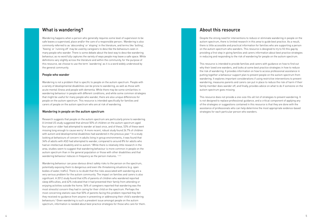### About this resource

Despite the strong need for interventions to reduce or eliminate wandering in people on the autism spectrum, there is limited research in this area to guide best practice. As a result, there is little accessible and practical information for families who are supporting a person on the autism spectrum who wanders. This resource is designed to try to fill this gap by providing a first step in giving families and carers information about best practice strategies in reducing and responding to the risk of wandering for people on the autism spectrum.

This resource is intended to provide families and carers with guidance on how to find out why their loved one wanders, and looks at some best practice strategies in how to reduce the risk of wandering. It provides information on how to access professional assistance in putting together a behaviour support plan to prevent people on the autism spectrum from wandering. It explores important considerations if using restrictive interventions to prevent wandering, measures parents and carers can put in place to reduce the risk of harm if their family member does wander off, and finally, provides advice on what to do if someone on the autism spectrum goes missing.

This resource does not provide a one-size-fits-all list of strategies to prevent wandering. It is not designed to replace professional guidance, and a critical component of applying any of the strategies or suggestions contained in this resource is that they are done with the assistance of professionals who can help determine the most appropriate evidence-based strategies for each particular person who wanders.

Research suggests that people on the autism spectrum are particularly prone to wandering. A limited US study suggested that almost 50% of children on the autism spectrum aged four years or older had attempted to wander at least once, and of these, 53% of these went missing long enough to cause worry.<sup>2</sup> A more recent, robust study found 26.7% of children with autism and developmental disabilities had wandered in the previous year.<sup>10</sup> In a study looking at behaviours of concern in adults living in group environments, it was found that 34% of adults with ASD had attempted to wander, compared to around 8% for adults who had an intellectual disability and no autism.<sup>3</sup> While there is relatively little research in the area, studies seem to suggest that wandering behaviour is more common in people on the autism spectrum than in the general population or those with other disabilities and that wandering behaviour reduces in frequency as the person matures. 1,2,3,4

### What is wandering?

Wandering happens when a person who generally requires some level of supervision to be safe leaves a supervised, place and/or the care of a responsible person.1 Wandering is also commonly referred to as 'absconding' or 'eloping' in the literature, and terms like 'bolting', 'fleeing' or 'running off' may be used by caregivers to describe the behaviours seen in many people who wander. There is some debate about the best way to describe wandering behaviour, as no word fully captures the variety of ways people may leave a safe space. While definitions vary slightly across the literature and within the community, for the purpose of this resource, we choose to use the term 'wandering' as it is a word widely understood by the general community.

### People who wander

Wandering is not a problem that is specific to people on the autism spectrum. People with a variety of developmental disabilities can be prone to wandering, as well as those with acute mental illness and people with dementia. While there may be some similarities in wandering behaviour in people with different conditions, and while some common strategies that might be useful for many people who wander, there are also unique differences for people on the autism spectrum. This resource is intended specifically for families and carers of people on the autism spectrum who are at risk of wandering.

### Wandering in people on the autism spectrum

Wandering behaviour can pose obvious direct safety risks to the person on the spectrum, potentially exposing them to dangerous and even life-threatening situations (e.g. open bodies of water, traffic). There is no doubt that the risks associated with wandering are a very serious problem for the autism community. The impact on families and carers is also significant. A 2012 study found that 43% of parents of children who wandered reported sleep difficulties, and 62% indicated that it had prevented their family from attending or enjoying activities outside the home. 56% of caregivers reported that wandering was the most stressful concern they had in caring for their child on the spectrum. Perhaps the most concerning statistic was that 50% of parents facing this problem reported they felt they received no guidance from anyone in preventing or addressing their child's wandering behaviours.2 Given wandering is such a prevalent issue amongst people on the autism spectrum, information is needed about best practice strategies for those who care for them.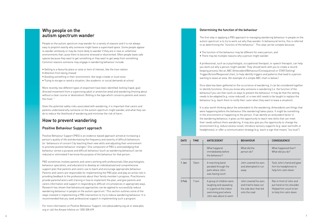### Determining the function of the behaviour

The first step in applying a PBS approach to managing wandering behaviour in people on the autism spectrum is to try to work out why they wander. In behavioural terms, this is referred to as determining the "function of the behaviour". This step can be complex because:

• The function of the behaviour may be different for every person; and

- 
- There may be multiple reasons why a person might wander.

A professional, such as a psychologist, occupational therapist, or speech therapist, can help you work out why a person might wander. They should work with you to create a recordkeeping process like an ABC (Antecedent/Behaviour/Consequence) or STAR (Setting/ Trigger/Action/Response) chart, to help identify triggers and patterns that lead to a person wanting to leave an area. (An example of a simple ABC chart is below.)

Once data has been gathered on the occurrence of wandering, it can be considered together to identify functions. Once you know why someone is wandering (i.e. the function of the behaviour) you can then work on ways to prevent the behaviour. It may be that the setting needs to be adapted (e.g. noise reduced), or a new skill needs to be taught to replace the behaviour (e.g. teach them to notify their carer when they want to leave a situation).

It is also worth thinking about the antecedent to the wandering. Antecedents are things that were happening before the behaviour (the wandering) takes place. It might be something in the environment or happening to the person. If we identify an antecedent factor in the wandering behaviour, it gives us the opportunity to teach new skills that can meet their needs without them wandering. It may also give you the opportunity to change the environment (e.g. reduce excess noise), introduce sensory supports (e.g. wear earmuffs or headphones), or offer a communication strategy (e.g. teach a sign that means "too loud").

### Why people on the autism spectrum wander

People on the autism spectrum may wander for a variety of reasons and it is not always easy to pinpoint exactly why someone might leave a supervised space. Some people appear to wander aimlessly or may be more likely to wander if they are in new or unfamiliar environments that cause them to become stressed or disoriented. Often people leave safe spaces because they want to get something or they want to get away from something. Common reasons someone may engage in wandering behaviour include:

- Getting to a favourite place or area or item of interest, like the train station
- Attention from being chased
- Avoiding something in their environment, like large crowds or loud noise
- Trying to escape or avoid a situation, like academic or social demands at school

More recently, two different types of elopement have been identified: bolting (rapid, goaldirected movement from a supervising adult or protective area) and wandering (moving about without a clear course or destination). Bolting is the type which concerns parents and carers the most. 7

Given the potential safety risks associated with wandering, it is important that carers and parents understand why someone on the autism spectrum might wander, and what they can do to reduce the likelihood of wandering and minimise the risk of harm.

### How to prevent wandering

### Positive Behaviour Support approach

Positive Behaviour Support (PBS) is an evidence-based approach aimed at increasing a person's quality of life and decreasing the frequency and severity of difficult behaviours (or 'behaviours of concern') by teaching them new skills and adjusting their environment to promote positive behaviour changes.® One component of PBS is acknowledging that behaviour serves a purpose and difficult behaviour (such as wandering behaviour) can be reduced or eliminated if we know the purpose of the behaviour for that person.

PBS sometimes involves parents and carers working with professionals (like psychologists, behaviour specialists, and educators) to develop an individualised and comprehensive support plan that parents and carers use to teach and encourage appropriate behaviour. Parents and carers are responsible for implementing the PBS plan and play an active role in providing feedback to the professionals about their family member's progress. Practitioners provide parents/carers with training in how to implement the plan, and give parents and carers information and support in responding to difficult circumstances in appropriate ways. Research has shown that behavioural approaches can be applied to successfully reduce wandering behaviour in people on the autism spectrum. 5 This section outlines some of the steps involved in implementing a PBS intervention to try to reduce wandering behaviour. It is recommended that you seek professional support in implementing such a program.

For more information on Positive Behaviour Support, visit pbsacademy.org.uk or www.pbis. org or call the Amaze Infoline on 1300 308 699.

| <b>DATE</b> | TIME             | <b>ANTECEDENT</b>                                                                                                              | <b>BEHAVIOUR</b>                                                                           | <b>CONSEQUENCE</b>                                                                                        |
|-------------|------------------|--------------------------------------------------------------------------------------------------------------------------------|--------------------------------------------------------------------------------------------|-----------------------------------------------------------------------------------------------------------|
|             |                  | What happend<br>immdediately before<br>the behaviour?                                                                          | What did the<br>person do?                                                                 | What happened then?<br>What did you do?                                                                   |
| 1 Jan       | 10 <sub>am</sub> | A marching band<br>paraded through the<br>park where John<br>was having lunch                                                  | John covered his ears<br>and attempted to run<br>away                                      | Took John's hand and gave<br>him his headphones to<br>help him calm down                                  |
| 3 Feb       | 11am             | A group of children were<br>laughing and squealing<br>in a game at the indoor<br>swimming pool where<br>John was about to swim | John covered his ears<br>and tried to leave out<br>the side door that led<br>onto the road | Ran in front of John and<br>put hand on his shoulder.<br>Helped him count to ten<br>to help him calm down |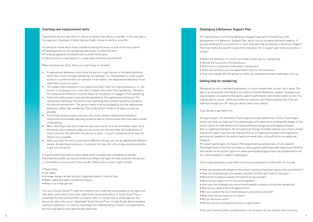#### Developing a Behaviour Support Plan

An important part of a Positive Behaviour Support approach to wandering is the development of a Behaviour Support Plan, which ties all the above elements together. If you are working with a practitioner or team, they will help you develop a Behaviour Support Plan that meets the specific needs of the individual. For a support plan to be successful, it should:

- Define the behaviour of concern and what it looks like (i.e. wandering);
- Identify the function/s of the behaviour;
- Define how to implement antecedent interventions;
- Teach and reinforce positive replacement skills for the behaviour;
- Grow and change with the person as skills are mastered and new challenges come up.

### Getting help for wandering

Managing the risk of wandering behaviour is a very complex task, so don't go it alone. The type of professionals most likely to be skilled in Positive Behaviour Support strategies are psychologists, occupational therapists, speech pathologists, and mental health nurses. You may be able to access a Medicare rebate for sessions with these professionals if you are referred through your GP. Ask your doctor about your options.

If you decide to get help from:

• A psychologist, The Australian Psychological Society website has a Find a Psychologist search tool that can help you find a psychologist with experience working with people on the autism spectrum with behavioural issues www.psychology.org.au/findapsychologist. • An occupational therapist, the Occupational Therapy Australia website has a Find a private practice OT search tool that can help you find an occupational therapist with experience working with people on the autism spectrum www.otaus.com.au/find-an-occupationaltherapist.

• A speech pathologist, the Speech Pathology Australia website has a Find a Speech Pathologist search tool that can help you find a speech pathologist with experience working with people on the autism spectrum www.speechpathologyaustralia.org.au/information-forthe-community/find-a-speech-pathologist.

Some useful questions to ask when choosing a professional to work with can include:

- Have you worked with people on the autism spectrum (and their family and carers) before?
- Have you helped people who wander and their families and carers in the past?
- What kind of evidence-based intervention do you provide?
- What will you expect of me if we work together?
- How have the strategies you recommend helped to reduce or eliminate wandering?
- What do you need at the first appointment?
- Will you conduct the functional behaviour assessment yourself?
- What data will you need me to collect?
- Will you do home visits?
- Will you assist in writing the behaviour support plan?

- 
- 
- 

If the cost of working with a professional is not an option for you and you live in Victoria,

### Teaching new (replacement) skills

Teaching the person new skills to reduce or replace their desire to wander is the next step in this approach. Examples of skills that you might choose to work on could be:

- Looking at a book about trains instead of leaving the house to look at the train station
- Providing praise for not wandering and access to preferred items
- Providing regularly scheduled visits to preferred location
- Teaching them to ask/signal for a break when they feel overwhelmed

When teaching new skills, there are a few things to consider:

- A replacement behaviour must allow the person to gain access to the same reinforcer which they receive through wandering. For example, if a child wanders in order to gain access to a preferred item, for example a train station, the replacement behaviour must allow them access to trains.
- The replacement behaviour must require less effort than the original behaviour, i.e. the person is not going to use a new skill if it takes more effort than wandering. Therefore, the replacement behaviour must be easier for the person to engage in than wandering.
- Sufficient reinforcement must also be available for the replacement behaviour. The replacement behaviour should be more rewarding than wandering and be provided in the natural environment. The person needs to be encouraged to use the replacement behaviour rather than wandering. The reinforcement needs to be given as soon as possible.
- Functional communication training is the most common replacement behaviour intervention and involves teaching someone how to communicate what they want instead of wandering.
- When teaching a new skill, break the task into a series of small achievable steps. Once the person has mastered a step, you can move onto the next step. Set aside blocks of time to practice the skill when the person is calm - not just in situations when they are likely to try to wander.
- Make sure that the skill is practiced in different settings and can be applied with different people. As teaching progresses, incorporate the new skill into outings and daily activities to get lots of practice.

It is particularly important to teach safety skills to people with a tendency to wander. Teaching these skills can be prioritised according to the types of risky situations the person is most likely to come across if they wander. Safety skills to teach might include:

- Road safety
- Car safety
- Stranger danger as well as who to approach when in need of help
- Water safety and water survival techniques
- What to do if they get lost

The use of Social Stories™ might be a helpful tool in teaching some people on the spectrum new skills, particularly if you have used these successfully before. A Social Story™ has a prescribed format and describes a situation, skill, or concept that is meaningful for the person for whom the story is developed. Social Stories™ are not specifically about changing a person's behaviour so much as improving their understanding of events and expectations, but this may lead to more appropriate responses.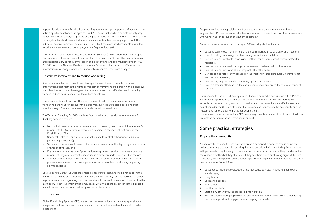Despite their intuitive appeal, it should be noted that there is currently no evidence to suggest that GPS devices are an effective intervention to prevent the risk of harm associated with wandering for people on the autism spectrum.<sup>9</sup>

Some of the considerations with using on GPS tracking devices include:

• Locating technology may infringe on a person's right to privacy, dignity and freedom; • Use of locating technology may lead to stigma and social isolation; • Devices can be unreliable (poor signal, battery issues, some aren't waterproof/water

• Devices can be removed, damaged or otherwise interfered with by the wearer; • Devices can be uncomfortable or impractical for the wearer; • Devices can be forgotten/misplaced by the wearer or carer, particularly if they are not

- 
- 
- resistant);
- 
- 
- secured to the person;
- 
- security.

• Devices may require remote monitoring by third parties and • Having a tracker fitted can lead to complacency of carers, giving them a false sense of

- wander safe)
- Neighbours
- Local shop keepers
- The school<br>• Local bus drivers
- 
- 
- 

If you choose to use a GPS tracking device, it should be used in conjunction with a Positive Behaviour Support approach and be thought of as one tool in helping wandering. We strongly recommend that you take into consideration the limitations identified above, and do not consider the GPS a replacement for supervision, appropriate home security and the implementation of a positive behaviour support plan. It is important to note that while a GPS device may provide a geographical location, it will not protect the person wearing it from injury or death.

# Some practical strategies

### Engage the community

A good way to increase the chances of keeping a person who wanders safe is to get the wider community's support in reducing the risks associated with wandering. Make contact with people who may be likely to come across the person you care for if they wander and let them know exactly what they should do if they see them alone or showing signs of distress. If possible, bring the person on the autism spectrum along and introduce them to these key people. You may like to inform:

• Local police (more below about the role that police can play in keeping people who

• Staff in any other favourite places (e.g. train station).

• Remember, the more people who are aware that your loved one is prone to wandering, the more support and help you have in keeping them safe.

Aspect Victoria run free Positive Behaviour Support workshops for parents of people on the autism spectrum between the ages of 6 and 25. The workshops help parents identify why certain behaviours occur, and provide strategies to reduce or eliminate them. They also have capacity to offer short-term additional assistance for families needing support with their individual positive behaviour support plan. To find out more about what they offer, visit their website www.autismspectrum.org.au/content/aspect-victoria-0.

The Victorian Department of Health and Human Services (DHHS) offers Behaviour Support Services for children, adolescents and adults with a disability. Contact the Disability Intake and Response Service for information on eligibility criteria and referral pathways on 1800 783 783. (With the National Disability Insurance Scheme rolling out across Victoria, this information may change. Amaze will update this resource if there are changes.)

### Restrictive interventions to reduce wandering

Another approach in response to wandering is the use of 'restrictive interventions' (interventions that restrict the rights or freedom of movement of a person with a disability). Many families ask about these types of interventions and their effectiveness in reducing wandering behaviour in people on the autism spectrum.

There is no evidence to support the effectiveness of restrictive interventions in reducing wandering behaviour for people with developmental or cognitive disabilities, and such practices may infringe upon a person's fundamental human rights.

The Victorian Disability Act 2006 outlines four main kinds of restrictive interventions for disability service providers:

- Mechanical restraint when a device is used to prevent, restrict or subdue a person's movements (GPS and similar devices are considered mechanical restraints in the Disability Act 2006);
- Chemical restraint any medication that is used to control behaviour or subdue a person (e.g. a sedative);
- Seclusion the sole confinement of a person at any hour of the day or night in any room or area of any place; and
- Physical restraint the use of physical force to prevent, restrict or subdue a person's movement (physical restraint is identified in a direction under section 150 of the Act).
- Another common restrictive intervention is known as environmental restraint, which prevents free access to parts of a person's environment (such as locking or placing alarms on doors).

Unlike Positive Behaviour Support strategies, restrictive interventions do not support the individual to develop skills that may help to prevent wandering, such as learning to request to go somewhere or regulating their own emotions to reduce the likelihood they want to flee a situation. Restrictive interventions may assist with immediate safety concerns, but used alone they are not effective in reducing wandering behaviour.

### GPS devices

Global Positioning Systems (GPS) are sometimes used to identify the geographical position of a person (not just those on the autism spectrum) who has wandered in an effort to help locate them.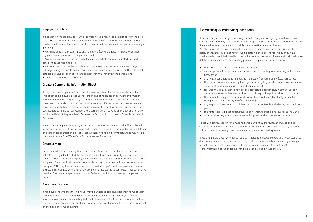# Locating a missing person

If the person you care for goes missing, you will have your emergency search map as a starting point. You may also want to contact people on the community involvement list to see if anyone has seen them, such as neighbours or staff at places of interest. You should report them as missing to the police as soon as you have concerns for their safety or welfare. You do not have to wait a certain period before reporting. If you have previously disclosed their details to the police, let them know, as these details will be in their database and assist with the reporting process. The police will want to know:

• a description of their physical appearance, the clothes they were wearing and a recent

• their interests (e.g. destinations/places of interest, fixations, previous locations); and • whether they may exhibit behaviours which pose a risk to themselves or others.

• any health considerations (e.g. taking medication) or vulnerability (e.g. non-verbal); • the circumstances surrounding them going missing (e.g. location where last seen, any

- the person's full name, date of birth and address;
- photograph;
- - significant events leading up to their disappearance);
- 
- transport, carrying money/myki/identification);
- places);
- 
- 

• features that may influence how police approach the person (e.g. whether they can communicate, know their own address, or will respond to police calling out to them); • their mobility (e.g. general fitness, distance they could walk, familiarity with public

• any steps you have taken to find them (e.g. contacted family and friends, searched likely

Police will actively search for a missing person until they are found, and will prioritise searches for children and people with a disability. It is therefore important that you notify police if you subsequently have contact with or locate the missing person.

If you are unsure about whether to report an incident to police, contact your local station to discuss your concerns. Police can advise you of the options available, including making a formal report and referral options. Otherwise, report an incident by calling 000. More information about engaging with police can be found in Appendix A.

### Engage the police

If a person on the autism spectrum goes missing, you may need assistance from the police, so it's important that the individual feels comfortable with them. Making contact with police can be beneficial and there are a number of ways that the police can support and assist you, including:

- Providing general advice, strategies and options (seeking advice in this way does not trigger a formal police report or police action);
- Arranging to introduce the person to local police to help them feel comfortable and confident in approaching police;
- Recording information that you choose to volunteer (such as behaviours and triggers, calming strategies, how to best communicate with your family member) on the police LEAP database to help police in any future contact they may have with the person; and
- Helping locate a missing person.

### Create a Community Information Sheet

It might help to complete a Community Information Sheet for the person who wanders. This sheet could include a recent photograph and physical description, and information about effective ways to approach, communicate and calm them. It should also contain clear instructions about what to do and who to contact if they're seen alone outside your home or property. Keep a note of everyone you give the sheet to, and ensure you have their contact details. If the person wanders, you can alert them to keep an eye out and to notify you immediately if they see them. An example Community Information Sheet is included in Appendix B.

It is worth noting possible privacy issues around composing an Information Sheet like this for an adult who cannot provide informed consent. If the person who wanders is an adult and an appropriate guardianship order is not in place, writing an Information Sheet may not be possible. Contact The Office of the Public Advocate for advice.

#### Create a map

Determine where in your neighbourhood they might go first if they leave the premises or safe place. Be guided by what the person is most interested in around your local area. Is it a particular neighbour's yard, a pool, a playground? Do they seem drawn to something when you pass it? Are they likely to try to get to a place they used to know, like a previous home or workplace? Do they like particular food items sold at shops? Plot these points on the map, and keep this updated whenever a new area of interest seems to come up. These landmarks can then form an emergency search map of where to look first in the event the person wanders.

### Easy identification

If you have concerns that the individual may be unable to communicate their name or your phone number if they are found wandering, you may want to consider ways to include this information on an identification tag that would be easily visible to someone who finds them. This could be engraved in an identification bracelet or similar, or could be included in a label on their bag or items of clothing.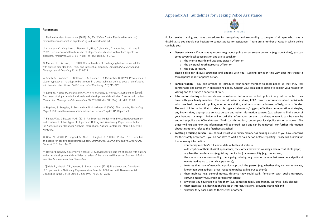## Appendix A1: Guidelines for Seeking Police Assistance



Police receive training and have procedures for recognising and responding to people of all ages who have a disability, so you should not hesitate to contact police for assistance. There are a number of ways in which police can help you:

**General advice** – If you have questions (e.g. about police responses) or concerns (e.g. about risks), you can

- contact your local police station and ask to speak to:
	- o the Mental Health and Disability Liaison Officer; or
	- o the divisional Youth Resource Officer; or
	- o the duty sergeant.

These police can discuss strategies and options with you. Seeking advice in this way does not trigger a formal police report or police action.

 **Familiarisation** – You can arrange to introduce your family member to local police so that they feel comfortable and confident in approaching police. Contact your local police station to explain your reason for

 **Information sharing** – You can choose to volunteer information to help police in any future contact they have with your family member. The central police database, LEAP, records information about individuals who have had contact with police, whether as a victim, a witness, a person in need of help, or an offender. The sort of information that is relevant is: typical behaviours/triggers, effective communication strategies, any known risks, appropriate contact person and other information sources (e.g. where to find a copy of your handout or map). Police will record this information on their database, where it can be seen by authorised police and 000 call-takers. To discuss this option, contact your local police station as above. The officer will explain how this information will be stored, used and can be removed. For further information

[1] National Autism Association. (2012). Big Red Safety Toolkit. Retrieved from http:// nationalautismassociation.org/docs/BigRedSafetyToolkit.pdf.

[4] Smith, S., Brandord, D., Collacott, R.A., Cooper, S. & McGrother, C. (1996). Prevalence and cluster typology of maladaptive behaviours in a geographically defined population of adults with learning disabilities. British Journal of Psychiatry, 169, 219-227.

> **Locating a missing person** – You should report your family member as missing as soon as you have concerns for their safety or welfare – you do not have to wait a certain period before reporting. Police will ask you for

 $\circ$  features that may influence how police approach the person (e.g. whether they can communicate,

- visiting and to arrange a convenient time.
- about this option, refer to the factsheet attached.
- the following information:
	- o your family member's full name, date of birth and address;
	-
	- $\circ$  a description of their physical appearance, the clothes they were wearing and a recent photograph;  $\circ$  any health considerations (e.g. taking medication) or vulnerability (e.g. has autism);
	- $\circ$  the circumstances surrounding them going missing (e.g. location where last seen, any significant events leading up to their disappearance);
	- know their own address, or will respond to police calling out to them);
	- carrying money/myki/credit card/identification);
	-
	- o their interests (e.g. destinations/places of interest, fixations, previous locations); and
	- o whether they pose a risk to themselves or others.

[10] Kiely, B., Migdal., T.R., Vettam, S. & Adesman, A. (2016). Prevalence and Correlates of Elopement in a Nationally Representative Sample of Children with Developmental Disabilities in the United States, PLoS ONE, 11 (2), e0148337

o their mobility (e.g. general fitness, distance they could walk, familiarity with public transport,

 $\circ$  any steps you have taken to find them (e.g. contacted family and friends, searched likely places);

References

[2] Anderson, C., Kiely Law, J., Daniels, A., Rice, C., Mandell, D. Hagopian, L., & Law, P. (2012). Occurrence and family impact of elopement in children with autism spectrum disorders. Pediatrics,130, 870-877. doi: 10.1542/peds.2012-0762.

[3] Matson, J.L., & Rivet, T.T. (2008). Characteristics of challenging behaviours in adults with autistic disorder, PDD-NOS, and intellectual disability. Journal of Intellectual and Developmental Disability, 33 (4), 323-329.

[5] Lang, R., Rispol, M., Machalicek, W., White, P., Kang, S., Pierce, N., Lancioni, G. (2009). Treatment of elopement in individuals with developmental disabilities: A systematic review. Research in Developmental Disabilities, 30, 670-681. doi: 10.1016/j.ridd.2008.11.003.

[6] Baptiste, S. Steggles, E. Grochowina, N. & LeBeau, M. (2006). The Locating Technology Project. Retrieved from www.srsmcmaster.ca/Portals/20/pdf/LTP\_Report.pdf.

[7] Fisher, W.W. & Bowen, M.M. (2014). An Empirical Model for Individualized Assessment and Treatment of Two Types of Elopement: Bolting and Wandering. Paper presented at the Association for Behavior Analysis International Autism Conference, March, Louisville, Kentucky.

[8] Gore, N., McGill, P., Toogood, S., Allen, D., Hughes, J., & Baker, P. et al. (201). Definition and scope for positive behavioural support. International Journal Of Positive Behavioural Support, 3 (2, Aut), 14-23.

[9] Hayward, Ransley & Memery (in press). GPS devices for elopement of people with autism and other developmental disabilities: a review of the published literature. Journal of Policy and Practice in Intellectual Disabilities.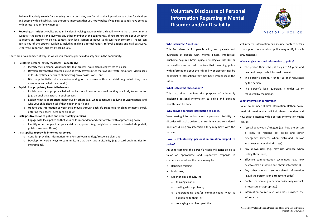**Voluntary Disclosure of Personal Information Regarding a Mental Disorder and/or Disability**

### **Who is this Fact Sheet for?**

This fact sheet is for people with, and parents and guardians of people with, mental illness, intellectual disability, acquired brain injury, neurological disorder or personality disorder, who believe that providing police with information about their disability or disorder may be beneficial to interactions they may have with police in the future.

### **What is this Fact Sheet about?**

This fact sheet outlines the purpose of voluntarily disclosing personal information to police and explains how this can be done.

### **Why provide personal information to police?**

Volunteering information about a person's disability or disorder will assist police to make timely and considered decisions during any interaction they may have with the person.

### **How is volunteering personal information helpful to police?**

An understanding of a person's needs will assist police to tailor an appropriate and supportive response in circumstances where the person may be:

- Reported missing;
- In distress;
- Experiencing difficulty in:
	- o thinking clearly;
	- o dealing with a problem;
	- o understanding and/or communicating what is happening to them; or
	- o conveying what has upset them.



VICTORIA POLICE

Volunteered information can include contact details of a support person whom police may notify in such circumstances.

### **Who can give personal information to police?**

- The person themselves, if they are 18 years and over and can provide informed consent;
- The person's parent, if under 18 or if requested by the person.
- The person's legal guardian, if under 18 or requested by the person.

### **What information is relevant?**

Police do not need clinical information. Rather, police need information that will help them to understand how best to interact with a person. Information might include:

- Typical behaviours / triggers (e.g. how the person is likely to respond to; police and other emergency services; when distressed; and/or what exacerbates their distress)
- Any known risks (e.g. may use violence when feeling threatened)
- Effective communication techniques (e.g. how best to calm a situation and obtain information)
- Any other mental disorder‐related information (e.g. if the person is on a treatment order)
- Contact person (e.g. a person police may contact, if necessary or appropriate)
- Information source (e.g. who has provided the information).
- $\circ$  Engage with local police so that your child is confident and comfortable with approaching police;
- Identify other people that your child can approach (e.g. neighbours, teachers, trusted shop staff, public transport officers).

Police will actively search for a missing person until they are found, and will prioritise searches for children and people with a disability. It is therefore important that you notify police if you subsequently have contact with or locate your family member.

 **Reporting an incident** – Police treat an incident involving a person with a disability – whether as a victim or a suspect – the same as one involving any other member of the community. If you are unsure about whether to report an incident to police, contact your local station as above to discuss your concerns. Police can advise you of the options available, including making a formal report, referral options and civil pathways. Otherwise, report an incident by calling 000.

There are also a number of ways in which you can help your child to stay safe in the community:

### **Reinforce personal safety messages – repeatedly!**

- o Identify their personal vulnerabilities (e.g. crowds, noisy places, eagerness to please);
- $\circ$  Develop preventative strategies (e.g. identify travel routes that avoid stressful situations, visit places at less busy times, set rules about giving away possessions); and
- o Discuss potentially risky scenarios and good responses with your child (e.g. what they may encounter and what they can do).
- **Explain inappropriate / harmful behaviour**
	- $\circ$  Explain what is appropriate behaviour by them in common situations they are likely to encounter (e.g. on public transport, in public places);
	- $\circ$  Explain what is appropriate behaviour by others (e.g. what constitutes bullying or victimisation, and who your child should tell if they experience it); and
	- o Update this information as your child moves through each life stage (e.g. finishing primary school, entering their teens, becoming an adult).

### **Instil positive views of police and other safety guardians**

### **Assist police to provide informed responses**

- o Consider providing information for a Person Warning Flag / response plan; and
- $\circ$  Develop non-verbal ways to communicate that they have a disability (e.g. a card outlining tips for interactions).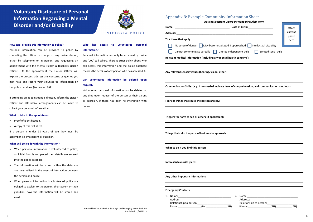|       | Appendix B: Example Community Information Sheet                                                        |                            | <b>Autism Spectrum Disorder: Wandering Alert Form</b> |                   |
|-------|--------------------------------------------------------------------------------------------------------|----------------------------|-------------------------------------------------------|-------------------|
| Name: |                                                                                                        |                            | Date of Birth: ________________                       |                   |
|       |                                                                                                        |                            |                                                       | Attach<br>current |
|       |                                                                                                        |                            |                                                       | photo             |
|       | Tick those that apply:                                                                                 |                            |                                                       | here              |
|       | No sense of danger May become agitated if approached Intellectual disability                           |                            |                                                       |                   |
|       | Cannot communicate verbally $\Box$                                                                     | Limited independent skills | Limited social skills                                 |                   |
|       |                                                                                                        |                            |                                                       |                   |
|       | Relevant medical information (including any mental health concerns):                                   |                            |                                                       |                   |
|       | Any relevant sensory issues (hearing, vision, other):                                                  |                            |                                                       |                   |
|       | Communication Skills: (e.g. if non-verbal indicate level of comprehension, and communication methods): |                            |                                                       |                   |
|       | Fears or things that cause the person anxiety:                                                         |                            |                                                       |                   |
|       |                                                                                                        |                            |                                                       |                   |
|       | Triggers for harm to self or others (if applicable):                                                   |                            |                                                       |                   |
|       | Things that calm the person/best way to approach:                                                      |                            |                                                       |                   |
|       | What to do if you find this person:                                                                    |                            |                                                       |                   |
|       |                                                                                                        |                            |                                                       |                   |
|       | Interests/favourite places:                                                                            |                            |                                                       |                   |
|       | Any other important information:                                                                       |                            |                                                       |                   |
|       | <b>Emergency Contacts:</b>                                                                             |                            |                                                       |                   |
|       |                                                                                                        |                            |                                                       |                   |
|       |                                                                                                        |                            |                                                       |                   |
|       |                                                                                                        |                            |                                                       |                   |
|       |                                                                                                        |                            | Phone: (BH)                                           | (AH)              |

|                                                                                                      | Date of Birth: National Property of Birth: |                       | Attach        |
|------------------------------------------------------------------------------------------------------|--------------------------------------------|-----------------------|---------------|
|                                                                                                      |                                            |                       | current       |
| k those that apply:                                                                                  |                                            |                       | photo<br>here |
| No sense of danger May become agitated if approached Intellectual disability                         |                                            |                       |               |
| Cannot communicate verbally   Limited independent skills                                             |                                            | Limited social skills |               |
| levant medical information (including any mental health concerns):                                   |                                            |                       |               |
|                                                                                                      |                                            |                       |               |
|                                                                                                      |                                            |                       |               |
| y relevant sensory issues (hearing, vision, other):                                                  |                                            |                       |               |
|                                                                                                      |                                            |                       |               |
| mmunication Skills: (e.g. if non-verbal indicate level of comprehension, and communication methods): |                                            |                       |               |
|                                                                                                      |                                            |                       |               |
|                                                                                                      |                                            |                       |               |
| ars or things that cause the person anxiety:                                                         |                                            |                       |               |
|                                                                                                      |                                            |                       |               |
|                                                                                                      |                                            |                       |               |
| ggers for harm to self or others (if applicable):                                                    |                                            |                       |               |
|                                                                                                      |                                            |                       |               |
|                                                                                                      |                                            |                       |               |
| ings that calm the person/best way to approach:                                                      |                                            |                       |               |
|                                                                                                      |                                            |                       |               |
|                                                                                                      |                                            |                       |               |
| hat to do if you find this person:                                                                   |                                            |                       |               |
|                                                                                                      |                                            |                       |               |
| erests/favourite places:                                                                             |                                            |                       |               |
|                                                                                                      |                                            |                       |               |
|                                                                                                      |                                            |                       |               |
| y other important information:                                                                       |                                            |                       |               |
|                                                                                                      |                                            |                       |               |
|                                                                                                      |                                            |                       |               |
|                                                                                                      |                                            |                       |               |
|                                                                                                      |                                            |                       |               |
| nergency Contacts:                                                                                   |                                            |                       |               |

# **Voluntary Disclosure of Personal Information Regarding a Mental Disorder and/or Disability**



### VICTORIA POLICE

#### **How can I provide this information to police?**

Personal information can be provided to police by contacting the officer in charge of any police station, either by telephone or in person, and requesting an appointment with the Mental Health & Disability Liaison Officer. At the appointment the Liaison Officer will explain the process, address any concerns or queries you may have and record your volunteered information on the police database (known as LEAP).

If attending an appointment is difficult, inform the Liaison Officer and alternative arrangements can be made to collect your personal information.

#### **What to take to the appointment**

- Proof of identification.
- A copy of this fact sheet.

If a person is under 18 years of age they must be accompanied by a parent or guardian.

#### **What will police do with the information?**

- When personal information is volunteered to police, an initial form is completed then details are entered into the police database.
- The information will be stored within the database and only utilised in the event of interaction between the person and police.
- When personal information is volunteered, police are obliged to explain to the person, their parent or their guardian, how the information will be stored and used.

### **Who has access to volunteered personal information?**

Personal information can only be accessed by police and '000' call takers. There is strict policy about who can access this information and the police database records the details of any person who has accessed it.

### **Can volunteered information be deleted upon request?**

Volunteered personal information can be deleted at any time upon request of the person or their parent or guardian, if there has been no interaction with police.